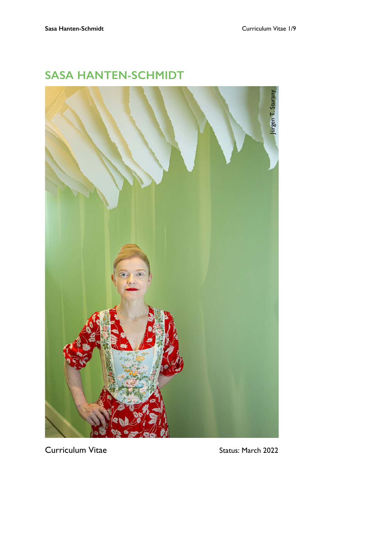

# **SASA HANTEN-SCHMIDT**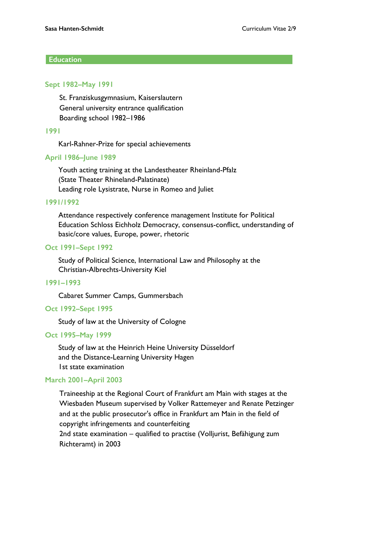## **Education**

#### **Sept 1982–May 1991**

St. Franziskusgymnasium, Kaiserslautern General university entrance qualification Boarding school 1982–1986

#### **1991**

Karl-Rahner-Prize for special achievements

#### **April 1986–June 1989**

Youth acting training at the Landestheater Rheinland-Pfalz (State Theater Rhineland-Palatinate) Leading role Lysistrate, Nurse in Romeo and Juliet

#### **1991/1992**

Attendance respectively conference management Institute for Political Education Schloss Eichholz Democracy, consensus-conflict, understanding of basic/core values, Europe, power, rhetoric

#### **Oct 1991–Sept 1992**

Study of Political Science, International Law and Philosophy at the Christian-Albrechts-University Kiel

#### **1991–1993**

Cabaret Summer Camps, Gummersbach

#### **Oct 1992–Sept 1995**

Study of law at the University of Cologne

#### **Oct 1995–May 1999**

Study of law at the Heinrich Heine University Düsseldorf and the Distance-Learning University Hagen 1st state examination

#### **March 2001–April 2003**

Traineeship at the Regional Court of Frankfurt am Main with stages at the Wiesbaden Museum supervised by Volker Rattemeyer and Renate Petzinger and at the public prosecutor's office in Frankfurt am Main in the field of copyright infringements and counterfeiting 2nd state examination – qualified to practise (Volljurist, Befähigung zum Richteramt) in 2003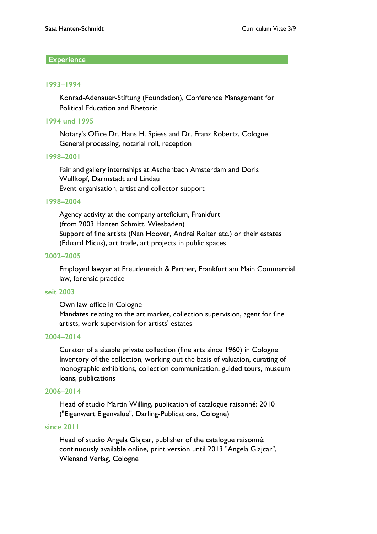# **Experience**

#### **1993–1994**

Konrad-Adenauer-Stiftung (Foundation), Conference Management for Political Education and Rhetoric

## **1994 und 1995**

Notary's Office Dr. Hans H. Spiess and Dr. Franz Robertz, Cologne General processing, notarial roll, reception

#### **1998–2001**

Fair and gallery internships at Aschenbach Amsterdam and Doris Wullkopf, Darmstadt and Lindau Event organisation, artist and collector support

#### **1998–2004**

Agency activity at the company arteficium, Frankfurt (from 2003 Hanten Schmitt, Wiesbaden) Support of fine artists (Nan Hoover, Andrei Roiter etc.) or their estates (Eduard Micus), art trade, art projects in public spaces

#### **2002–2005**

Employed lawyer at Freudenreich & Partner, Frankfurt am Main Commercial law, forensic practice

#### **seit 2003**

Own law office in Cologne Mandates relating to the art market, collection supervision, agent for fine artists, work supervision for artists' estates

## **2004–2014**

Curator of a sizable private collection (fine arts since 1960) in Cologne Inventory of the collection, working out the basis of valuation, curating of monographic exhibitions, collection communication, guided tours, museum loans, publications

## **2006–2014**

Head of studio Martin Willing, publication of catalogue raisonné: 2010 ("Eigenwert Eigenvalue", Darling-Publications, Cologne)

## **since 2011**

Head of studio Angela Glajcar, publisher of the catalogue raisonné; continuously available online, print version until 2013 "Angela Glajcar", Wienand Verlag, Cologne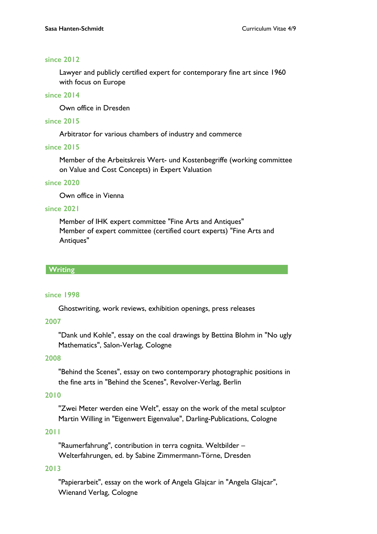## **since 2012**

Lawyer and publicly certified expert for contemporary fine art since 1960 with focus on Europe

# **since 2014**

Own office in Dresden

# **since 2015**

Arbitrator for various chambers of industry and commerce

#### **since 2015**

Member of the Arbeitskreis Wert- und Kostenbegriffe (working committee on Value and Cost Concepts) in Expert Valuation

#### **since 2020**

Own office in Vienna

#### **since 2021**

Member of IHK expert committee "Fine Arts and Antiques" Member of expert committee (certified court experts) "Fine Arts and Antiques"

#### **Writing**

#### **since 1998**

Ghostwriting, work reviews, exhibition openings, press releases

## **2007**

"Dank und Kohle", essay on the coal drawings by Bettina Blohm in "No ugly Mathematics", Salon-Verlag, Cologne

## **2008**

"Behind the Scenes", essay on two contemporary photographic positions in the fine arts in "Behind the Scenes", Revolver-Verlag, Berlin

## **2010**

"Zwei Meter werden eine Welt", essay on the work of the metal sculptor Martin Willing in "Eigenwert Eigenvalue", Darling-Publications, Cologne

## **2011**

"Raumerfahrung", contribution in terra cognita. Weltbilder – Welterfahrungen, ed. by Sabine Zimmermann-Törne, Dresden

# **2013**

"Papierarbeit", essay on the work of Angela Glajcar in "Angela Glajcar", Wienand Verlag, Cologne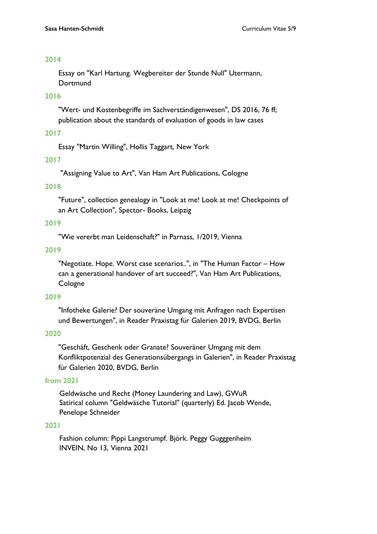Essay on "Karl Hartung. Wegbereiter der Stunde Null" Utermann, Dortmund

# **2016**

"Wert- und Kostenbegriffe im Sachverständigenwesen", DS 2016, 76 ff; publication about the standards of evaluation of goods in law cases

# **2017**

Essay "Martin Willing", Hollis Taggart, New York

# **2017**

"Assigning Value to Art", Van Ham Art Publications, Cologne

# **2018**

"Future", collection genealogy in "Look at me! Look at me! Checkpoints of an Art Collection", Spector- Books, Leipzig

## **2019**

"Wie vererbt man Leidenschaft?" in Parnass, 1/2019, Vienna

# **2019**

"Negotiate. Hope. Worst case scenarios..", in "The Human Factor – How can a generational handover of art succeed?", Van Ham Art Publications, Cologne

## **2019**

"Infotheke Galerie? Der souveräne Umgang mit Anfragen nach Expertisen und Bewertungen", in Reader Praxistag für Galerien 2019, BVDG, Berlin

## **2020**

"Geschäft, Geschenk oder Granate? Souveräner Umgang mit dem Konfliktpotenzial des Generationsübergangs in Galerien", in Reader Praxistag für Galerien 2020, BVDG, Berlin

## **from 2021**

Geldwäsche und Recht (Money Laundering and Law), GWuR Satirical column "Geldwäsche Tutorial" (quarterly) Ed. Jacob Wende, Penelope Schneider

## **2021**

Fashion column: Pippi Langstrumpf. Björk. Peggy Gugggenheim INVEIN, No 13, Vienna 2021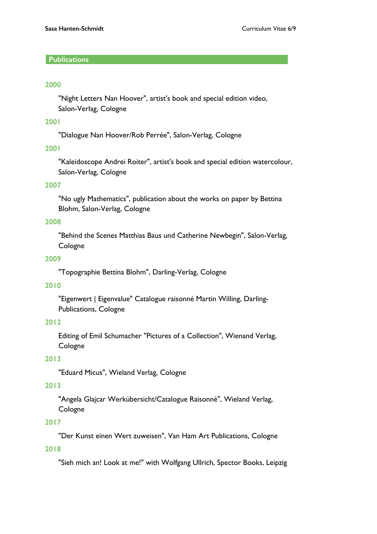# **Publications**

#### **2000**

"Night Letters Nan Hoover", artist's book and special edition video, Salon-Verlag, Cologne

## **2001**

"Dialogue Nan Hoover/Rob Perrée", Salon-Verlag, Cologne

## **2001**

"Kaleidoscope Andrei Roiter", artist's book and special edition watercolour, Salon-Verlag, Cologne

#### **2007**

"No ugly Mathematics", publication about the works on paper by Bettina Blohm, Salon-Verlag, Cologne

## **2008**

"Behind the Scenes Matthias Baus und Catherine Newbegin", Salon-Verlag, Cologne

#### **2009**

"Topographie Bettina Blohm", Darling-Verlag, Cologne

## **2010**

"Eigenwert | Eigenvalue" Catalogue raisonné Martin Willing, Darling-Publications, Cologne

## **2012**

Editing of Emil Schumacher "Pictures of a Collection", Wienand Verlag, Cologne

## **2013**

"Eduard Micus", Wieland Verlag, Cologne

# **2013**

"Angela Glajcar Werkübersicht/Catalogue Raisonné", Wieland Verlag, Cologne

# **2017**

"Der Kunst einen Wert zuweisen", Van Ham Art Publications, Cologne

# **2018**

"Sieh mich an! Look at me!" with Wolfgang Ullrich, Spector Books, Leipzig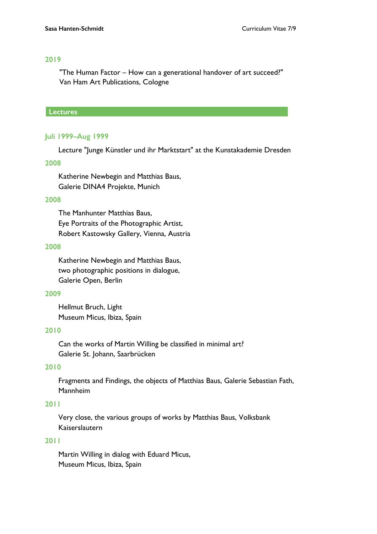"The Human Factor – How can a generational handover of art succeed?" Van Ham Art Publications, Cologne

#### **Lectures**

## **Juli 1999–Aug 1999**

Lecture "Junge Künstler und ihr Marktstart" at the Kunstakademie Dresden

#### **2008**

Katherine Newbegin and Matthias Baus, Galerie DINA4 Projekte, Munich

#### **2008**

The Manhunter Matthias Baus, Eye Portraits of the Photographic Artist, Robert Kastowsky Gallery, Vienna, Austria

#### **2008**

Katherine Newbegin and Matthias Baus, two photographic positions in dialogue, Galerie Open, Berlin

#### **2009**

Hellmut Bruch, Light Museum Micus, Ibiza, Spain

# **2010**

Can the works of Martin Willing be classified in minimal art? Galerie St. Johann, Saarbrücken

## **2010**

Fragments and Findings, the objects of Matthias Baus, Galerie Sebastian Fath, Mannheim

#### **2011**

Very close, the various groups of works by Matthias Baus, Volksbank Kaiserslautern

## **2011**

Martin Willing in dialog with Eduard Micus, Museum Micus, Ibiza, Spain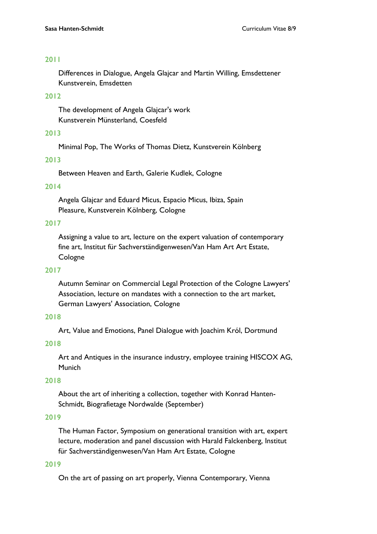Differences in Dialogue, Angela Glajcar and Martin Willing, Emsdettener Kunstverein, Emsdetten

# **2012**

The development of Angela Glajcar's work Kunstverein Münsterland, Coesfeld

#### **2013**

Minimal Pop, The Works of Thomas Dietz, Kunstverein Kölnberg

#### **2013**

Between Heaven and Earth, Galerie Kudlek, Cologne

## **2014**

Angela Glajcar and Eduard Micus, Espacio Micus, Ibiza, Spain Pleasure, Kunstverein Kölnberg, Cologne

#### **2017**

Assigning a value to art, lecture on the expert valuation of contemporary fine art, Institut für Sachverständigenwesen/Van Ham Art Art Estate, Cologne

#### **2017**

Autumn Seminar on Commercial Legal Protection of the Cologne Lawyers' Association, lecture on mandates with a connection to the art market, German Lawyers' Association, Cologne

# **2018**

Art, Value and Emotions, Panel Dialogue with Joachim Król, Dortmund

# **2018**

Art and Antiques in the insurance industry, employee training HISCOX AG, Munich

#### **2018**

About the art of inheriting a collection, together with Konrad Hanten-Schmidt, Biografietage Nordwalde (September)

# **2019**

The Human Factor, Symposium on generational transition with art, expert lecture, moderation and panel discussion with Harald Falckenberg, Institut für Sachverständigenwesen/Van Ham Art Estate, Cologne

#### **2019**

On the art of passing on art properly, Vienna Contemporary, Vienna